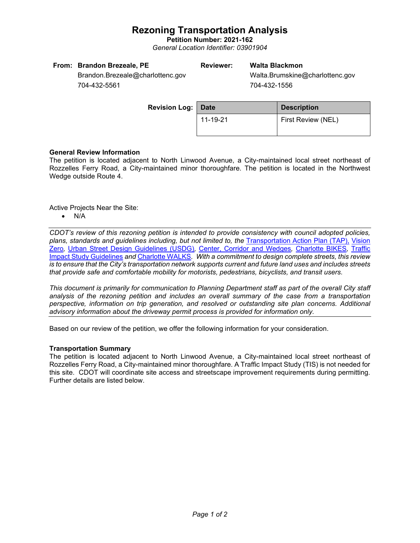# **Rezoning Transportation Analysis**

**Petition Number: 2021-162** *General Location Identifier: 03901904*

| From: Brandon Brezeale, PE       | <b>Reviewer:</b> | Walta Blackmon                  |
|----------------------------------|------------------|---------------------------------|
| Brandon.Brezeale@charlottenc.gov |                  | Walta.Brumskine@charlottenc.gov |

704-432-5561

704-432-1556

| <b>Revision Log: Date</b> |          | <b>Description</b> |  |
|---------------------------|----------|--------------------|--|
|                           | 11-19-21 | First Review (NEL) |  |

## **General Review Information**

The petition is located adjacent to North Linwood Avenue, a City-maintained local street northeast of Rozzelles Ferry Road, a City-maintained minor thoroughfare. The petition is located in the Northwest Wedge outside Route 4.

Active Projects Near the Site:

• N/A

*CDOT's review of this rezoning petition is intended to provide consistency with council adopted policies, plans, standards and guidelines including, but not limited to, the* [Transportation Action Plan \(TAP\),](https://charlottenc.gov/Transportation/Programs/Pages/TransportationActionPlan.aspx) [Vision](https://charlottenc.gov/VisionZero/Pages/VisionZero.aspx)  [Zero](https://charlottenc.gov/VisionZero/Pages/VisionZero.aspx)*,* [Urban Street Design Guidelines \(USDG\)](https://charlottenc.gov/Transportation/PlansProjects/Documents/USDG%20Full%20Document.pdf)*,* [Center, Corridor and](http://ww.charmeck.org/Planning/Land%20Use%20Planning/CentersCorridorsWedges/CentersCorridorsWedges(Adopted).pdf) Wedges*,* [Charlotte BIKES](https://charlottenc.gov/Transportation/Programs/Pages/Bicycle.aspx)*,* [Traffic](https://charlottenc.gov/Transportation/Permits/Documents/TISProcessandGuildlines.pdf)  [Impact Study Guidelines](https://charlottenc.gov/Transportation/Permits/Documents/TISProcessandGuildlines.pdf) *and* [Charlotte WALKS](https://charlottenc.gov/Transportation/Programs/Pages/CharlotteWalks.aspx)*. With a commitment to design complete streets, this review is to ensure that the City's transportation network supports current and future land uses and includes streets that provide safe and comfortable mobility for motorists, pedestrians, bicyclists, and transit users.*

*This document is primarily for communication to Planning Department staff as part of the overall City staff analysis of the rezoning petition and includes an overall summary of the case from a transportation perspective, information on trip generation, and resolved or outstanding site plan concerns. Additional advisory information about the driveway permit process is provided for information only.*

Based on our review of the petition, we offer the following information for your consideration.

### **Transportation Summary**

The petition is located adjacent to North Linwood Avenue, a City-maintained local street northeast of Rozzelles Ferry Road, a City-maintained minor thoroughfare. A Traffic Impact Study (TIS) is not needed for this site. CDOT will coordinate site access and streetscape improvement requirements during permitting. Further details are listed below.